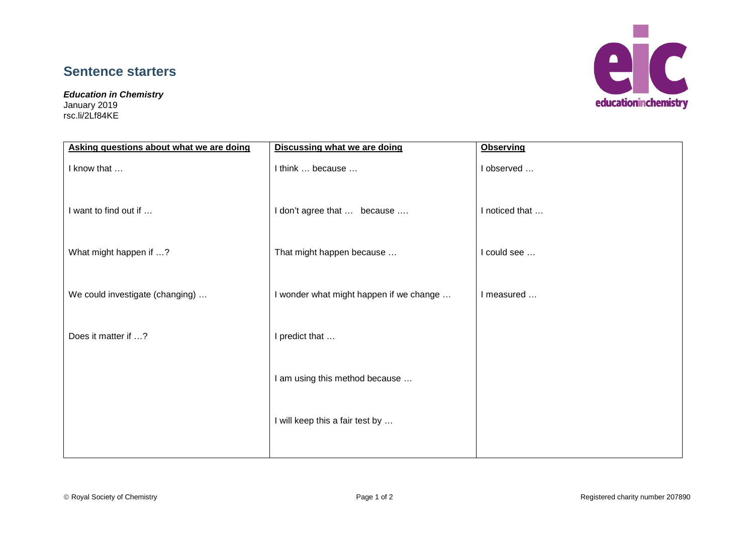## **Sentence starters**

*Education in Chemistry*

January 2019 rsc.li/2Lf84KE



| Asking questions about what we are doing | <b>Discussing what we are doing</b>     | <b>Observing</b> |
|------------------------------------------|-----------------------------------------|------------------|
| I know that                              | I think  because                        | I observed       |
| I want to find out if                    | I don't agree that  because             | I noticed that   |
| What might happen if ?                   | That might happen because               | I could see      |
| We could investigate (changing)          | I wonder what might happen if we change | I measured       |
| Does it matter if ?                      | I predict that                          |                  |
|                                          | I am using this method because          |                  |
|                                          | I will keep this a fair test by         |                  |
|                                          |                                         |                  |